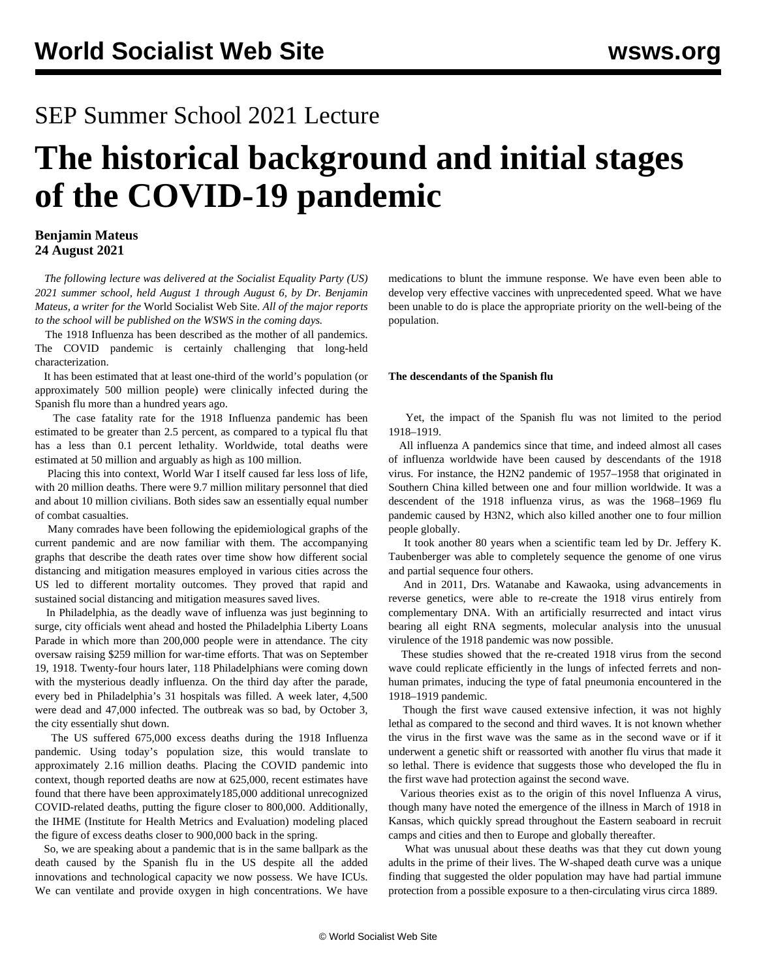## SEP Summer School 2021 Lecture

# **The historical background and initial stages of the COVID-19 pandemic**

#### **Benjamin Mateus 24 August 2021**

 *The following lecture was delivered at the Socialist Equality Party (US) 2021 summer school, held August 1 through August 6, by Dr. Benjamin Mateus, a writer for the* World Socialist Web Site. *All of the major reports to the school will be published on the WSWS in the coming days.*

 The 1918 Influenza has been described as the mother of all pandemics. The COVID pandemic is certainly challenging that long-held characterization.

 It has been estimated that at least one-third of the world's population (or approximately 500 million people) were clinically infected during the Spanish flu more than a hundred years ago.

 The case fatality rate for the 1918 Influenza pandemic has been estimated to be greater than 2.5 percent, as compared to a typical flu that has a less than 0.1 percent lethality. Worldwide, total deaths were estimated at 50 million and arguably as high as 100 million.

 Placing this into context, World War I itself caused far less loss of life, with 20 million deaths. There were 9.7 million military personnel that died and about 10 million civilians. Both sides saw an essentially equal number of combat casualties.

 Many comrades have been following the epidemiological graphs of the current pandemic and are now familiar with them. The accompanying graphs that describe the death rates over time show how different social distancing and mitigation measures employed in various cities across the US led to different mortality outcomes. They proved that rapid and sustained social distancing and mitigation measures saved lives.

 In Philadelphia, as the deadly wave of influenza was just beginning to surge, city officials went ahead and hosted the Philadelphia Liberty Loans Parade in which more than 200,000 people were in attendance. The city oversaw raising \$259 million for war-time efforts. That was on September 19, 1918. Twenty-four hours later, 118 Philadelphians were coming down with the mysterious deadly influenza. On the third day after the parade, every bed in Philadelphia's 31 hospitals was filled. A week later, 4,500 were dead and 47,000 infected. The outbreak was so bad, by October 3, the city essentially shut down.

 The US suffered 675,000 excess deaths during the 1918 Influenza pandemic. Using today's population size, this would translate to approximately 2.16 million deaths. Placing the COVID pandemic into context, though reported deaths are now at 625,000, recent estimates have found that there have been approximately185,000 additional unrecognized COVID-related deaths, putting the figure closer to 800,000. Additionally, the IHME (Institute for Health Metrics and Evaluation) modeling placed the figure of excess deaths closer to 900,000 back in the spring.

 So, we are speaking about a pandemic that is in the same ballpark as the death caused by the Spanish flu in the US despite all the added innovations and technological capacity we now possess. We have ICUs. We can ventilate and provide oxygen in high concentrations. We have medications to blunt the immune response. We have even been able to develop very effective vaccines with unprecedented speed. What we have been unable to do is place the appropriate priority on the well-being of the population.

#### **The descendants of the Spanish flu**

 Yet, the impact of the Spanish flu was not limited to the period 1918–1919.

 All influenza A pandemics since that time, and indeed almost all cases of influenza worldwide have been caused by descendants of the 1918 virus. For instance, the H2N2 pandemic of 1957–1958 that originated in Southern China killed between one and four million worldwide. It was a descendent of the 1918 influenza virus, as was the 1968–1969 flu pandemic caused by H3N2, which also killed another one to four million people globally.

 It took another 80 years when a scientific team led by Dr. Jeffery K. Taubenberger was able to completely sequence the genome of one virus and partial sequence four others.

 And in 2011, Drs. Watanabe and Kawaoka, using advancements in reverse genetics, were able to re-create the 1918 virus entirely from complementary DNA. With an artificially resurrected and intact virus bearing all eight RNA segments, molecular analysis into the unusual virulence of the 1918 pandemic was now possible.

 These studies showed that the re-created 1918 virus from the second wave could replicate efficiently in the lungs of infected ferrets and nonhuman primates, inducing the type of fatal pneumonia encountered in the 1918–1919 pandemic.

 Though the first wave caused extensive infection, it was not highly lethal as compared to the second and third waves. It is not known whether the virus in the first wave was the same as in the second wave or if it underwent a genetic shift or reassorted with another flu virus that made it so lethal. There is evidence that suggests those who developed the flu in the first wave had protection against the second wave.

 Various theories exist as to the origin of this novel Influenza A virus, though many have noted the emergence of the illness in March of 1918 in Kansas, which quickly spread throughout the Eastern seaboard in recruit camps and cities and then to Europe and globally thereafter.

 What was unusual about these deaths was that they cut down young adults in the prime of their lives. The W-shaped death curve was a unique finding that suggested the older population may have had partial immune protection from a possible exposure to a then-circulating virus circa 1889.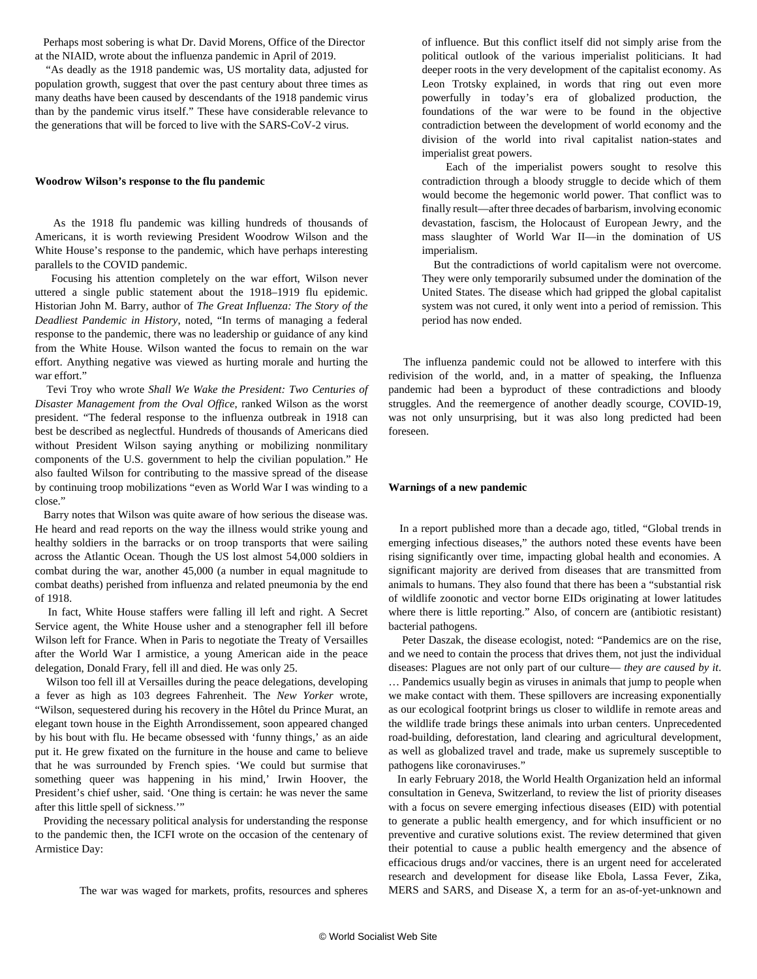Perhaps most sobering is what Dr. David Morens, Office of the Director at the NIAID, wrote about the influenza pandemic in April of 2019.

 "As deadly as the 1918 pandemic was, US mortality data, adjusted for population growth, suggest that over the past century about three times as many deaths have been caused by descendants of the 1918 pandemic virus than by the pandemic virus itself." These have considerable relevance to the generations that will be forced to live with the SARS-CoV-2 virus.

#### **Woodrow Wilson's response to the flu pandemic**

 As the 1918 flu pandemic was killing hundreds of thousands of Americans, it is worth reviewing President Woodrow Wilson and the White House's response to the pandemic, which have perhaps interesting parallels to the COVID pandemic.

 Focusing his attention completely on the war effort, Wilson never uttered a single public statement about the 1918–1919 flu epidemic. Historian John M. Barry, author of *The Great Influenza: The Story of the Deadliest Pandemic in History*, noted, "In terms of managing a federal response to the pandemic, there was no leadership or guidance of any kind from the White House. Wilson wanted the focus to remain on the war effort. Anything negative was viewed as hurting morale and hurting the war effort."

 Tevi Troy who wrote *Shall We Wake the President: Two Centuries of Disaster Management from the Oval Office*, ranked Wilson as the worst president. "The federal response to the influenza outbreak in 1918 can best be described as neglectful. Hundreds of thousands of Americans died without President Wilson saying anything or mobilizing nonmilitary components of the U.S. government to help the civilian population." He also faulted Wilson for contributing to the massive spread of the disease by continuing troop mobilizations "even as World War I was winding to a close."

 Barry notes that Wilson was quite aware of how serious the disease was. He heard and read reports on the way the illness would strike young and healthy soldiers in the barracks or on troop transports that were sailing across the Atlantic Ocean. Though the US lost almost 54,000 soldiers in combat during the war, another 45,000 (a number in equal magnitude to combat deaths) perished from influenza and related pneumonia by the end of 1918.

 In fact, White House staffers were falling ill left and right. A Secret Service agent, the White House usher and a stenographer fell ill before Wilson left for France. When in Paris to negotiate the Treaty of Versailles after the World War I armistice, a young American aide in the peace delegation, Donald Frary, fell ill and died. He was only 25.

 Wilson too fell ill at Versailles during the peace delegations, developing a fever as high as 103 degrees Fahrenheit. The *New Yorker* wrote, "Wilson, sequestered during his recovery in the Hôtel du Prince Murat, an elegant town house in the Eighth Arrondissement, soon appeared changed by his bout with flu. He became obsessed with 'funny things,' as an aide put it. He grew fixated on the furniture in the house and came to believe that he was surrounded by French spies. 'We could but surmise that something queer was happening in his mind,' Irwin Hoover, the President's chief usher, said. 'One thing is certain: he was never the same after this little spell of sickness.'"

 Providing the necessary political analysis for understanding the response to the pandemic then, the ICFI wrote on the occasion of the centenary of Armistice Day:

The war was waged for markets, profits, resources and spheres

of influence. But this conflict itself did not simply arise from the political outlook of the various imperialist politicians. It had deeper roots in the very development of the capitalist economy. As Leon Trotsky explained, in words that ring out even more powerfully in today's era of globalized production, the foundations of the war were to be found in the objective contradiction between the development of world economy and the division of the world into rival capitalist nation-states and imperialist great powers.

 Each of the imperialist powers sought to resolve this contradiction through a bloody struggle to decide which of them would become the hegemonic world power. That conflict was to finally result—after three decades of barbarism, involving economic devastation, fascism, the Holocaust of European Jewry, and the mass slaughter of World War II—in the domination of US imperialism.

 But the contradictions of world capitalism were not overcome. They were only temporarily subsumed under the domination of the United States. The disease which had gripped the global capitalist system was not cured, it only went into a period of remission. This period has now ended.

 The influenza pandemic could not be allowed to interfere with this redivision of the world, and, in a matter of speaking, the Influenza pandemic had been a byproduct of these contradictions and bloody struggles. And the reemergence of another deadly scourge, COVID-19, was not only unsurprising, but it was also long predicted had been foreseen.

#### **Warnings of a new pandemic**

 In a report published more than a decade ago, titled, "Global trends in emerging infectious diseases," the authors noted these events have been rising significantly over time, impacting global health and economies. A significant majority are derived from diseases that are transmitted from animals to humans. They also found that there has been a "substantial risk of wildlife zoonotic and vector borne EIDs originating at lower latitudes where there is little reporting." Also, of concern are (antibiotic resistant) bacterial pathogens.

 Peter Daszak, the disease ecologist, noted: "Pandemics are on the rise, and we need to contain the process that drives them, not just the individual diseases: Plagues are not only part of our culture— *they are caused by it*. … Pandemics usually begin as viruses in animals that jump to people when we make contact with them. These spillovers are increasing exponentially as our ecological footprint brings us closer to wildlife in remote areas and the wildlife trade brings these animals into urban centers. Unprecedented road-building, deforestation, land clearing and agricultural development, as well as globalized travel and trade, make us supremely susceptible to pathogens like coronaviruses."

 In early February 2018, the World Health Organization held an informal consultation in Geneva, Switzerland, to review the list of priority diseases with a focus on severe emerging infectious diseases (EID) with potential to generate a public health emergency, and for which insufficient or no preventive and curative solutions exist. The review determined that given their potential to cause a public health emergency and the absence of efficacious drugs and/or vaccines, there is an urgent need for accelerated research and development for disease like Ebola, Lassa Fever, Zika, MERS and SARS, and Disease X, a term for an as-of-yet-unknown and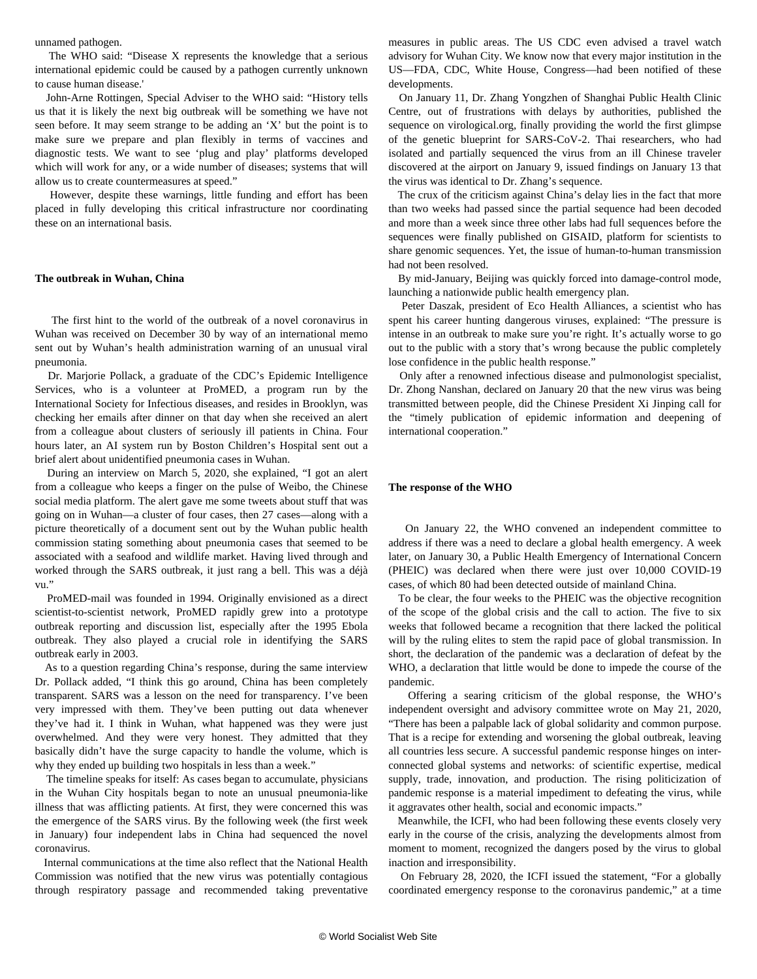unnamed pathogen.

 The WHO said: "Disease X represents the knowledge that a serious international epidemic could be caused by a pathogen currently unknown to cause human disease.'

 John-Arne Rottingen, Special Adviser to the WHO said: "History tells us that it is likely the next big outbreak will be something we have not seen before. It may seem strange to be adding an 'X' but the point is to make sure we prepare and plan flexibly in terms of vaccines and diagnostic tests. We want to see 'plug and play' platforms developed which will work for any, or a wide number of diseases; systems that will allow us to create countermeasures at speed."

 However, despite these warnings, little funding and effort has been placed in fully developing this critical infrastructure nor coordinating these on an international basis.

#### **The outbreak in Wuhan, China**

 The first hint to the world of the outbreak of a novel coronavirus in Wuhan was received on December 30 by way of an international memo sent out by Wuhan's health administration warning of an unusual viral pneumonia.

 Dr. Marjorie Pollack, a graduate of the CDC's Epidemic Intelligence Services, who is a volunteer at ProMED, a program run by the International Society for Infectious diseases, and resides in Brooklyn, was checking her emails after dinner on that day when she received an alert from a colleague about clusters of seriously ill patients in China. Four hours later, an AI system run by Boston Children's Hospital sent out a brief alert about unidentified pneumonia cases in Wuhan.

 During an interview on March 5, 2020, she explained, "I got an alert from a colleague who keeps a finger on the pulse of Weibo, the Chinese social media platform. The alert gave me some tweets about stuff that was going on in Wuhan—a cluster of four cases, then 27 cases—along with a picture theoretically of a document sent out by the Wuhan public health commission stating something about pneumonia cases that seemed to be associated with a seafood and wildlife market. Having lived through and worked through the SARS outbreak, it just rang a bell. This was a déjà vu."

 ProMED-mail was founded in 1994. Originally envisioned as a direct scientist-to-scientist network, ProMED rapidly grew into a prototype outbreak reporting and discussion list, especially after the 1995 Ebola outbreak. They also played a crucial role in identifying the SARS outbreak early in 2003.

 As to a question regarding China's response, during the same interview Dr. Pollack added, "I think this go around, China has been completely transparent. SARS was a lesson on the need for transparency. I've been very impressed with them. They've been putting out data whenever they've had it. I think in Wuhan, what happened was they were just overwhelmed. And they were very honest. They admitted that they basically didn't have the surge capacity to handle the volume, which is why they ended up building two hospitals in less than a week."

 The timeline speaks for itself: As cases began to accumulate, physicians in the Wuhan City hospitals began to note an unusual pneumonia-like illness that was afflicting patients. At first, they were concerned this was the emergence of the SARS virus. By the following week (the first week in January) four independent labs in China had sequenced the novel coronavirus.

 Internal communications at the time also reflect that the National Health Commission was notified that the new virus was potentially contagious through respiratory passage and recommended taking preventative measures in public areas. The US CDC even advised a travel watch advisory for Wuhan City. We know now that every major institution in the US—FDA, CDC, White House, Congress—had been notified of these developments.

 On January 11, Dr. Zhang Yongzhen of Shanghai Public Health Clinic Centre, out of frustrations with delays by authorities, published the sequence on virological.org, finally providing the world the first glimpse of the genetic blueprint for SARS-CoV-2. Thai researchers, who had isolated and partially sequenced the virus from an ill Chinese traveler discovered at the airport on January 9, issued findings on January 13 that the virus was identical to Dr. Zhang's sequence.

 The crux of the criticism against China's delay lies in the fact that more than two weeks had passed since the partial sequence had been decoded and more than a week since three other labs had full sequences before the sequences were finally published on GISAID, platform for scientists to share genomic sequences. Yet, the issue of human-to-human transmission had not been resolved.

 By mid-January, Beijing was quickly forced into damage-control mode, launching a nationwide public health emergency plan.

 Peter Daszak, president of Eco Health Alliances, a scientist who has spent his career hunting dangerous viruses, explained: "The pressure is intense in an outbreak to make sure you're right. It's actually worse to go out to the public with a story that's wrong because the public completely lose confidence in the public health response."

 Only after a renowned infectious disease and pulmonologist specialist, Dr. Zhong Nanshan, declared on January 20 that the new virus was being transmitted between people, did the Chinese President Xi Jinping call for the "timely publication of epidemic information and deepening of international cooperation."

#### **The response of the WHO**

 On January 22, the WHO convened an independent committee to address if there was a need to declare a global health emergency. A week later, on January 30, a Public Health Emergency of International Concern (PHEIC) was declared when there were just over 10,000 COVID-19 cases, of which 80 had been detected outside of mainland China.

 To be clear, the four weeks to the PHEIC was the objective recognition of the scope of the global crisis and the call to action. The five to six weeks that followed became a recognition that there lacked the political will by the ruling elites to stem the rapid pace of global transmission. In short, the declaration of the pandemic was a declaration of defeat by the WHO, a declaration that little would be done to impede the course of the pandemic.

 Offering a searing criticism of the global response, the WHO's independent oversight and advisory committee wrote on May 21, 2020, "There has been a palpable lack of global solidarity and common purpose. That is a recipe for extending and worsening the global outbreak, leaving all countries less secure. A successful pandemic response hinges on interconnected global systems and networks: of scientific expertise, medical supply, trade, innovation, and production. The rising politicization of pandemic response is a material impediment to defeating the virus, while it aggravates other health, social and economic impacts."

 Meanwhile, the ICFI, who had been following these events closely very early in the course of the crisis, analyzing the developments almost from moment to moment, recognized the dangers posed by the virus to global inaction and irresponsibility.

 On February 28, 2020, the ICFI issued the statement, "For a globally coordinated emergency response to the coronavirus pandemic," at a time